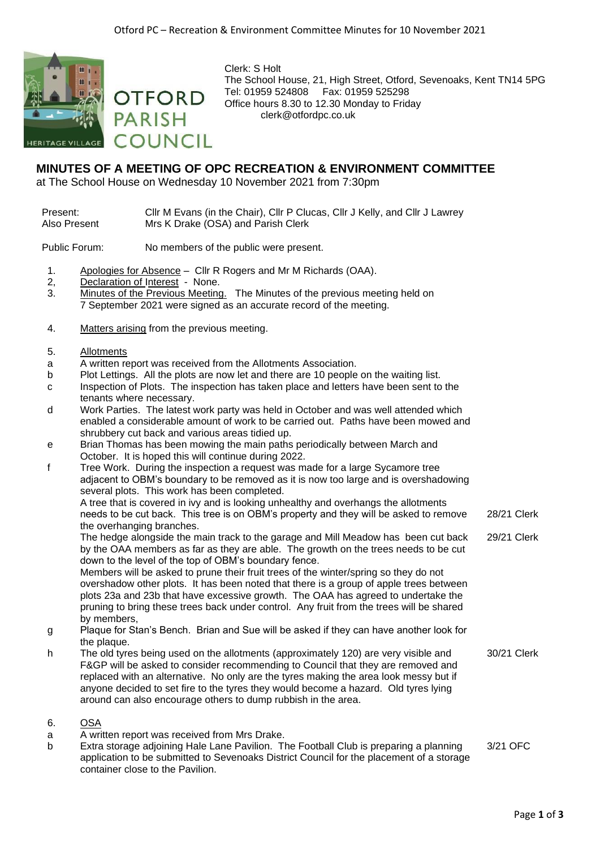

Clerk: S Holt The School House, 21, High Street, Otford, Sevenoaks, Kent TN14 5PG Tel: 01959 524808 Fax: 01959 525298 Office hours 8.30 to 12.30 Monday to Friday clerk@otfordpc.co.uk

## **MINUTES OF A MEETING OF OPC RECREATION & ENVIRONMENT COMMITTEE**

at The School House on Wednesday 10 November 2021 from 7:30pm

## Present: Cllr M Evans (in the Chair), Cllr P Clucas, Cllr J Kelly, and Cllr J Lawrey Also Present Mrs K Drake (OSA) and Parish Clerk

Public Forum: No members of the public were present.

- 1. Apologies for Absence Cllr R Rogers and Mr M Richards (OAA).
- 2, Declaration of Interest None.
- 3. Minutes of the Previous Meeting. The Minutes of the previous meeting held on 7 September 2021 were signed as an accurate record of the meeting.
- 4. Matters arising from the previous meeting.

**OTFORD** 

COUNCIL

**PARISH** 

## 5. Allotments

- a A written report was received from the Allotments Association.
- b Plot Lettings. All the plots are now let and there are 10 people on the waiting list.
- c Inspection of Plots. The inspection has taken place and letters have been sent to the tenants where necessary.
- d Work Parties. The latest work party was held in October and was well attended which enabled a considerable amount of work to be carried out. Paths have been mowed and shrubbery cut back and various areas tidied up.
- e Brian Thomas has been mowing the main paths periodically between March and October. It is hoped this will continue during 2022.
- f Tree Work. During the inspection a request was made for a large Sycamore tree adjacent to OBM's boundary to be removed as it is now too large and is overshadowing several plots. This work has been completed. A tree that is covered in ivy and is looking unhealthy and overhangs the allotments

needs to be cut back. This tree is on OBM's property and they will be asked to remove the overhanging branches. 28/21 Clerk

The hedge alongside the main track to the garage and Mill Meadow has been cut back by the OAA members as far as they are able. The growth on the trees needs to be cut down to the level of the top of OBM's boundary fence. 29/21 Clerk

Members will be asked to prune their fruit trees of the winter/spring so they do not overshadow other plots. It has been noted that there is a group of apple trees between plots 23a and 23b that have excessive growth. The OAA has agreed to undertake the pruning to bring these trees back under control. Any fruit from the trees will be shared by members,

- g Plaque for Stan's Bench. Brian and Sue will be asked if they can have another look for the plaque.
- h The old tyres being used on the allotments (approximately 120) are very visible and F&GP will be asked to consider recommending to Council that they are removed and replaced with an alternative. No only are the tyres making the area look messy but if anyone decided to set fire to the tyres they would become a hazard. Old tyres lying around can also encourage others to dump rubbish in the area. 30/21 Clerk
- 6. OSA
- a A written report was received from Mrs Drake.
- b Extra storage adjoining Hale Lane Pavilion. The Football Club is preparing a planning application to be submitted to Sevenoaks District Council for the placement of a storage container close to the Pavilion. 3/21 OFC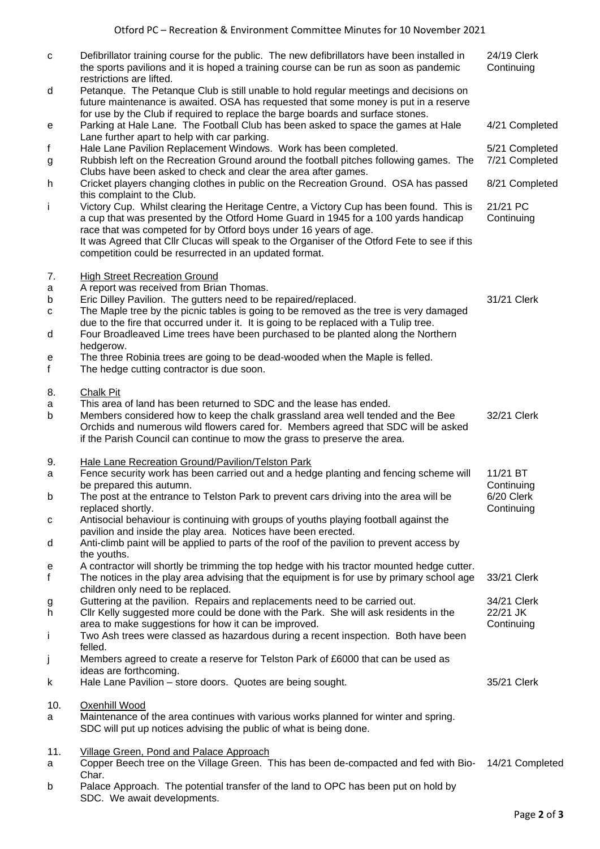| $\mathbf{C}$      | Defibrillator training course for the public. The new defibrillators have been installed in<br>the sports pavilions and it is hoped a training course can be run as soon as pandemic<br>restrictions are lifted.                                                                                                                                                                                            | 24/19 Clerk<br>Continuing             |
|-------------------|-------------------------------------------------------------------------------------------------------------------------------------------------------------------------------------------------------------------------------------------------------------------------------------------------------------------------------------------------------------------------------------------------------------|---------------------------------------|
| d                 | Petanque. The Petanque Club is still unable to hold regular meetings and decisions on<br>future maintenance is awaited. OSA has requested that some money is put in a reserve<br>for use by the Club if required to replace the barge boards and surface stones.                                                                                                                                            |                                       |
| e                 | Parking at Hale Lane. The Football Club has been asked to space the games at Hale<br>Lane further apart to help with car parking.                                                                                                                                                                                                                                                                           | 4/21 Completed                        |
| f<br>g            | Hale Lane Pavilion Replacement Windows. Work has been completed.<br>Rubbish left on the Recreation Ground around the football pitches following games. The<br>Clubs have been asked to check and clear the area after games.                                                                                                                                                                                | 5/21 Completed<br>7/21 Completed      |
| h                 | Cricket players changing clothes in public on the Recreation Ground. OSA has passed<br>this complaint to the Club.                                                                                                                                                                                                                                                                                          | 8/21 Completed                        |
| j.                | Victory Cup. Whilst clearing the Heritage Centre, a Victory Cup has been found. This is<br>a cup that was presented by the Otford Home Guard in 1945 for a 100 yards handicap<br>race that was competed for by Otford boys under 16 years of age.<br>It was Agreed that Cllr Clucas will speak to the Organiser of the Otford Fete to see if this<br>competition could be resurrected in an updated format. | 21/21 PC<br>Continuing                |
| 7.                | <b>High Street Recreation Ground</b>                                                                                                                                                                                                                                                                                                                                                                        |                                       |
| a<br>b<br>C       | A report was received from Brian Thomas.<br>Eric Dilley Pavilion. The gutters need to be repaired/replaced.<br>The Maple tree by the picnic tables is going to be removed as the tree is very damaged<br>due to the fire that occurred under it. It is going to be replaced with a Tulip tree.                                                                                                              | 31/21 Clerk                           |
| d<br>е<br>f       | Four Broadleaved Lime trees have been purchased to be planted along the Northern<br>hedgerow.<br>The three Robinia trees are going to be dead-wooded when the Maple is felled.<br>The hedge cutting contractor is due soon.                                                                                                                                                                                 |                                       |
| 8.<br>a<br>b      | Chalk Pit<br>This area of land has been returned to SDC and the lease has ended.<br>Members considered how to keep the chalk grassland area well tended and the Bee<br>Orchids and numerous wild flowers cared for. Members agreed that SDC will be asked<br>if the Parish Council can continue to mow the grass to preserve the area.                                                                      | 32/21 Clerk                           |
| 9.<br>a           | Hale Lane Recreation Ground/Pavilion/Telston Park<br>Fence security work has been carried out and a hedge planting and fencing scheme will<br>be prepared this autumn.                                                                                                                                                                                                                                      | 11/21 BT<br>Continuing                |
| b                 | The post at the entrance to Telston Park to prevent cars driving into the area will be<br>replaced shortly.                                                                                                                                                                                                                                                                                                 | 6/20 Clerk<br>Continuing              |
| C<br>d            | Antisocial behaviour is continuing with groups of youths playing football against the<br>pavilion and inside the play area. Notices have been erected.<br>Anti-climb paint will be applied to parts of the roof of the pavilion to prevent access by                                                                                                                                                        |                                       |
| e<br>$\mathsf{f}$ | the youths.<br>A contractor will shortly be trimming the top hedge with his tractor mounted hedge cutter.<br>The notices in the play area advising that the equipment is for use by primary school age                                                                                                                                                                                                      | 33/21 Clerk                           |
| g<br>h            | children only need to be replaced.<br>Guttering at the pavilion. Repairs and replacements need to be carried out.<br>Cllr Kelly suggested more could be done with the Park. She will ask residents in the<br>area to make suggestions for how it can be improved.                                                                                                                                           | 34/21 Clerk<br>22/21 JK<br>Continuing |
| Ť                 | Two Ash trees were classed as hazardous during a recent inspection. Both have been<br>felled.                                                                                                                                                                                                                                                                                                               |                                       |
| j<br>k            | Members agreed to create a reserve for Telston Park of £6000 that can be used as<br>ideas are forthcoming.<br>Hale Lane Pavilion - store doors. Quotes are being sought.                                                                                                                                                                                                                                    | 35/21 Clerk                           |
| 10.<br>a          | Oxenhill Wood<br>Maintenance of the area continues with various works planned for winter and spring.<br>SDC will put up notices advising the public of what is being done.                                                                                                                                                                                                                                  |                                       |
| 11.<br>a          | Village Green, Pond and Palace Approach<br>Copper Beech tree on the Village Green. This has been de-compacted and fed with Bio- 14/21 Completed<br>Char.                                                                                                                                                                                                                                                    |                                       |
| <b>h</b>          | Palace Approach The potential transfer of the land to OPC has been put on hold by                                                                                                                                                                                                                                                                                                                           |                                       |

b Palace Approach. The potential transfer of the land to OPC has been put on hold by SDC. We await developments.